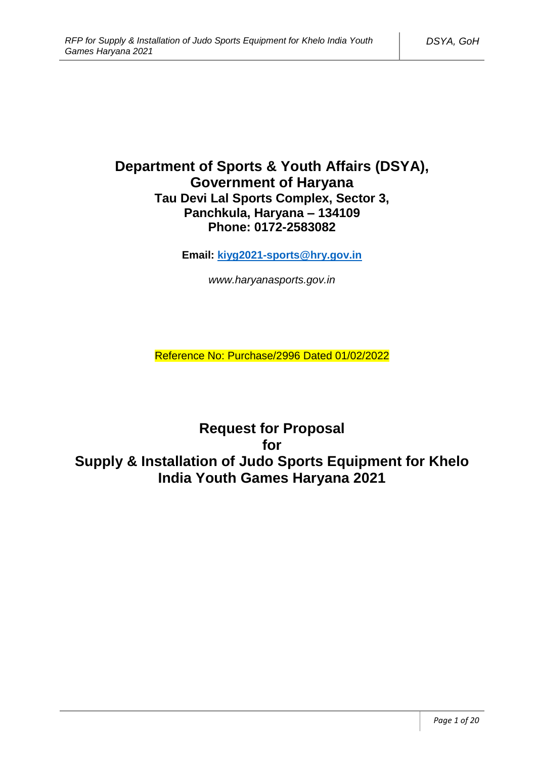# **Department of Sports & Youth Affairs (DSYA), Government of Haryana Tau Devi Lal Sports Complex, Sector 3, Panchkula, Haryana – 134109 Phone: 0172-2583082**

**Email: [kiyg2021-sports@hry.gov.in](mailto:kiyg2021-sports@hry.gov.in)**

*www.haryanasports.gov.in*

Reference No: Purchase/2996 Dated 01/02/2022

**Request for Proposal for Supply & Installation of Judo Sports Equipment for Khelo India Youth Games Haryana 2021**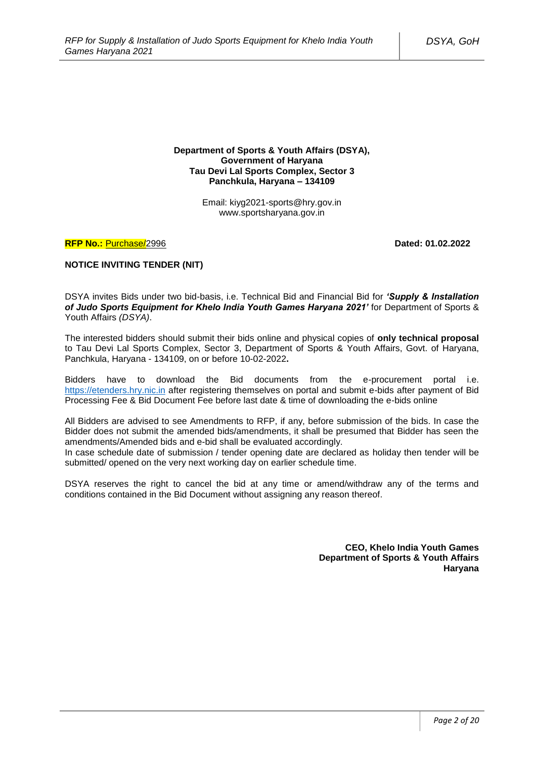#### **Department of Sports & Youth Affairs (DSYA), Government of Haryana Tau Devi Lal Sports Complex, Sector 3 Panchkula, Haryana – 134109**

Email: kiyg2021-sports@hry.gov.in www.sportsharyana.gov.in

### **RFP No.:** Purchase/2996 **Dated: 01.02.2022**

### **NOTICE INVITING TENDER (NIT)**

DSYA invites Bids under two bid-basis, i.e. Technical Bid and Financial Bid for *'Supply & Installation of Judo Sports Equipment for Khelo India Youth Games Haryana 2021'* for Department of Sports & Youth Affairs *(DSYA)*.

The interested bidders should submit their bids online and physical copies of **only technical proposal** to Tau Devi Lal Sports Complex, Sector 3, Department of Sports & Youth Affairs, Govt. of Haryana, Panchkula, Haryana - 134109, on or before 10-02-2022**.**

Bidders have to download the Bid documents from the e-procurement portal i.e. [https://etenders.hry.nic.in](https://etenders.hry.nic.in/) after registering themselves on portal and submit e-bids after payment of Bid Processing Fee & Bid Document Fee before last date & time of downloading the e-bids online

All Bidders are advised to see Amendments to RFP, if any, before submission of the bids. In case the Bidder does not submit the amended bids/amendments, it shall be presumed that Bidder has seen the amendments/Amended bids and e-bid shall be evaluated accordingly.

In case schedule date of submission / tender opening date are declared as holiday then tender will be submitted/ opened on the very next working day on earlier schedule time.

DSYA reserves the right to cancel the bid at any time or amend/withdraw any of the terms and conditions contained in the Bid Document without assigning any reason thereof.

> **CEO, Khelo India Youth Games Department of Sports & Youth Affairs Haryana**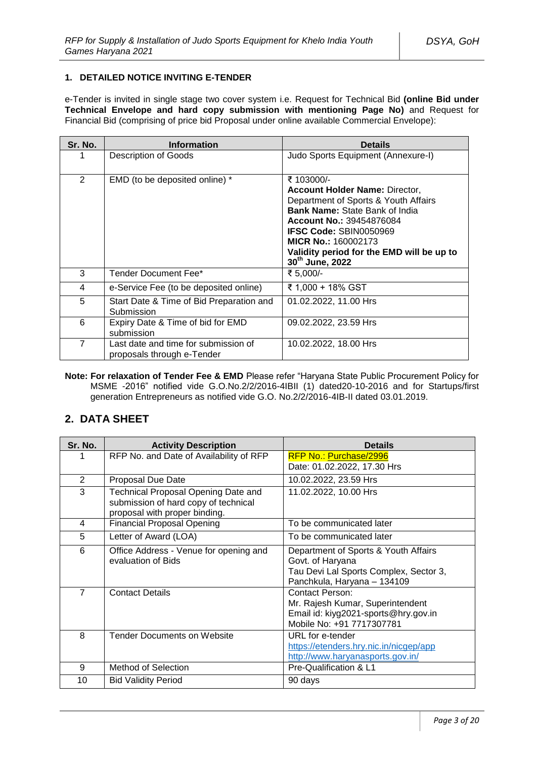# **1. DETAILED NOTICE INVITING E-TENDER**

e-Tender is invited in single stage two cover system i.e. Request for Technical Bid **(online Bid under Technical Envelope and hard copy submission with mentioning Page No)** and Request for Financial Bid (comprising of price bid Proposal under online available Commercial Envelope):

| Sr. No. | <b>Information</b>                                                 | <b>Details</b>                                                                                                                                                                                                                                                                                                     |
|---------|--------------------------------------------------------------------|--------------------------------------------------------------------------------------------------------------------------------------------------------------------------------------------------------------------------------------------------------------------------------------------------------------------|
|         | <b>Description of Goods</b>                                        | Judo Sports Equipment (Annexure-I)                                                                                                                                                                                                                                                                                 |
| 2       | EMD (to be deposited online) *                                     | ₹ 103000/-<br><b>Account Holder Name: Director,</b><br>Department of Sports & Youth Affairs<br><b>Bank Name: State Bank of India</b><br><b>Account No.: 39454876084</b><br><b>IFSC Code: SBIN0050969</b><br><b>MICR No.: 160002173</b><br>Validity period for the EMD will be up to<br>30 <sup>th</sup> June, 2022 |
| 3       | Tender Document Fee*                                               | ₹ 5,000/-                                                                                                                                                                                                                                                                                                          |
| 4       | e-Service Fee (to be deposited online)                             | ₹ 1,000 + 18% GST                                                                                                                                                                                                                                                                                                  |
| 5       | Start Date & Time of Bid Preparation and<br>Submission             | 01.02.2022, 11.00 Hrs                                                                                                                                                                                                                                                                                              |
| 6       | Expiry Date & Time of bid for EMD<br>submission                    | 09.02.2022, 23.59 Hrs                                                                                                                                                                                                                                                                                              |
| 7       | Last date and time for submission of<br>proposals through e-Tender | 10.02.2022, 18.00 Hrs                                                                                                                                                                                                                                                                                              |

**Note: For relaxation of Tender Fee & EMD** Please refer "Haryana State Public Procurement Policy for MSME -2016" notified vide G.O.No.2/2/2016-4IBII (1) dated20-10-2016 and for Startups/first generation Entrepreneurs as notified vide G.O. No.2/2/2016-4IB-II dated 03.01.2019.

# **2. DATA SHEET**

| Sr. No.        | <b>Activity Description</b>                                                                                  | <b>Details</b>                                                                                                                    |
|----------------|--------------------------------------------------------------------------------------------------------------|-----------------------------------------------------------------------------------------------------------------------------------|
| 1              | RFP No. and Date of Availability of RFP                                                                      | RFP No.: Purchase/2996<br>Date: 01.02.2022, 17.30 Hrs                                                                             |
| 2              | Proposal Due Date                                                                                            | 10.02.2022, 23.59 Hrs                                                                                                             |
| 3              | Technical Proposal Opening Date and<br>submission of hard copy of technical<br>proposal with proper binding. | 11.02.2022, 10.00 Hrs                                                                                                             |
| 4              | <b>Financial Proposal Opening</b>                                                                            | To be communicated later                                                                                                          |
| 5              | Letter of Award (LOA)                                                                                        | To be communicated later                                                                                                          |
| 6              | Office Address - Venue for opening and<br>evaluation of Bids                                                 | Department of Sports & Youth Affairs<br>Govt. of Haryana<br>Tau Devi Lal Sports Complex, Sector 3,<br>Panchkula, Haryana - 134109 |
| $\overline{7}$ | <b>Contact Details</b>                                                                                       | <b>Contact Person:</b><br>Mr. Rajesh Kumar, Superintendent<br>Email id: kiyg2021-sports@hry.gov.in<br>Mobile No: +91 7717307781   |
| 8              | <b>Tender Documents on Website</b>                                                                           | URL for e-tender<br>https://etenders.hry.nic.in/nicgep/app<br>http://www.haryanasports.gov.in/                                    |
| 9              | Method of Selection                                                                                          | Pre-Qualification & L1                                                                                                            |
| 10             | <b>Bid Validity Period</b>                                                                                   | 90 days                                                                                                                           |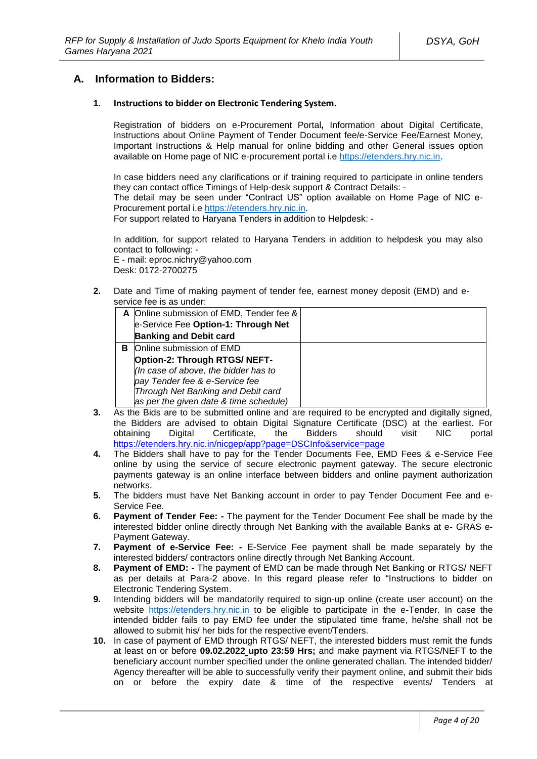# **A. Information to Bidders:**

#### **1. Instructions to bidder on Electronic Tendering System.**

Registration of bidders on e-Procurement Portal**,** Information about Digital Certificate, Instructions about Online Payment of Tender Document fee/e-Service Fee/Earnest Money, Important Instructions & Help manual for online bidding and other General issues option available on Home page of NIC e-procurement portal i.e [https://etenders.hry.nic.in.](https://etenders.hry.nic.in/)

In case bidders need any clarifications or if training required to participate in online tenders they can contact office Timings of Help-desk support & Contract Details: - The detail may be seen under "Contract US" option available on Home Page of NIC e-

Procurement portal i.e [https://etenders.hry.nic.in.](https://etenders.hry.nic.in/)

For support related to Haryana Tenders in addition to Helpdesk: -

In addition, for support related to Haryana Tenders in addition to helpdesk you may also contact to following: -

E - mail: eproc.nichry@yahoo.com Desk: 0172-2700275

**2.** Date and Time of making payment of tender fee, earnest money deposit (EMD) and eservice fee is as under:

|   | A Online submission of EMD, Tender fee & |  |
|---|------------------------------------------|--|
|   | e-Service Fee Option-1: Through Net      |  |
|   | <b>Banking and Debit card</b>            |  |
| в | Online submission of EMD                 |  |
|   | Option-2: Through RTGS/ NEFT-            |  |
|   | (In case of above, the bidder has to     |  |
|   | pay Tender fee & e-Service fee           |  |
|   | Through Net Banking and Debit card       |  |
|   | as per the given date & time schedule)   |  |

- **3.** As the Bids are to be submitted online and are required to be encrypted and digitally signed, the Bidders are advised to obtain Digital Signature Certificate (DSC) at the earliest. For Digital Certificate, the Bidders should visit NIC portal https://etenders.hry.nic.in/nicgep/app?page=DSCInfo&service=page
- **4.** The Bidders shall have to pay for the Tender Documents Fee, EMD Fees & e-Service Fee online by using the service of secure electronic payment gateway. The secure electronic payments gateway is an online interface between bidders and online payment authorization networks.
- **5.** The bidders must have Net Banking account in order to pay Tender Document Fee and e-Service Fee.
- **6. Payment of Tender Fee: -** The payment for the Tender Document Fee shall be made by the interested bidder online directly through Net Banking with the available Banks at e- GRAS e-Payment Gateway.
- **7. Payment of e-Service Fee: -** E-Service Fee payment shall be made separately by the interested bidders/ contractors online directly through Net Banking Account.
- **8. Payment of EMD: -** The payment of EMD can be made through Net Banking or RTGS/ NEFT as per details at Para-2 above. In this regard please refer to "Instructions to bidder on Electronic Tendering System.
- **9.** Intending bidders will be mandatorily required to sign-up online (create user account) on the website [https://etenders.hry.nic.in](https://etenders.hry.nic.in/) to be eligible to participate in the e-Tender. In case the intended bidder fails to pay EMD fee under the stipulated time frame, he/she shall not be allowed to submit his/ her bids for the respective event/Tenders.
- **10.** In case of payment of EMD through RTGS/ NEFT, the interested bidders must remit the funds at least on or before **09.02.2022 upto 23:59 Hrs;** and make payment via RTGS/NEFT to the beneficiary account number specified under the online generated challan. The intended bidder/ Agency thereafter will be able to successfully verify their payment online, and submit their bids on or before the expiry date & time of the respective events/ Tenders at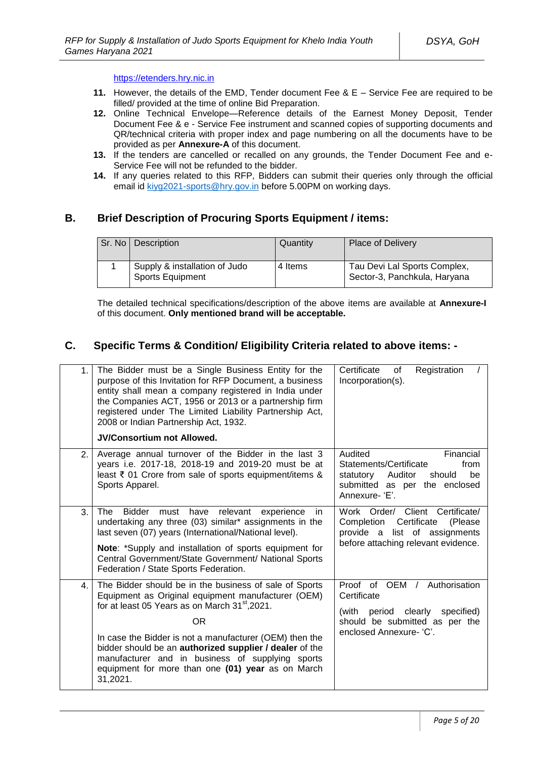https://etenders.hry.nic.in

- **11.** However, the details of the EMD, Tender document Fee & E Service Fee are required to be filled/ provided at the time of online Bid Preparation.
- **12.** Online Technical Envelope—Reference details of the Earnest Money Deposit, Tender Document Fee & e - Service Fee instrument and scanned copies of supporting documents and QR/technical criteria with proper index and page numbering on all the documents have to be provided as per **Annexure-A** of this document.
- **13.** If the tenders are cancelled or recalled on any grounds, the Tender Document Fee and e-Service Fee will not be refunded to the bidder.
- **14.** If any queries related to this RFP, Bidders can submit their queries only through the official email id [kiyg2021-sports@hry.gov.in](mailto:kiyg2021-sports@hry.gov.in) before 5.00PM on working days.

# **B. Brief Description of Procuring Sports Equipment / items:**

| Sr. No | Description                                              | Quantity | <b>Place of Delivery</b>                                     |
|--------|----------------------------------------------------------|----------|--------------------------------------------------------------|
|        | Supply & installation of Judo<br><b>Sports Equipment</b> | 4 Items  | Tau Devi Lal Sports Complex,<br>Sector-3, Panchkula, Haryana |

The detailed technical specifications/description of the above items are available at **Annexure-I** of this document. **Only mentioned brand will be acceptable.** 

# **C. Specific Terms & Condition/ Eligibility Criteria related to above items: -**

| 1. | The Bidder must be a Single Business Entity for the<br>purpose of this Invitation for RFP Document, a business<br>entity shall mean a company registered in India under<br>the Companies ACT, 1956 or 2013 or a partnership firm<br>registered under The Limited Liability Partnership Act,<br>2008 or Indian Partnership Act, 1932.                                                                                                    | Certificate<br>Registration<br>of<br>Incorporation(s).                                                                                            |
|----|-----------------------------------------------------------------------------------------------------------------------------------------------------------------------------------------------------------------------------------------------------------------------------------------------------------------------------------------------------------------------------------------------------------------------------------------|---------------------------------------------------------------------------------------------------------------------------------------------------|
|    | <b>JV/Consortium not Allowed.</b>                                                                                                                                                                                                                                                                                                                                                                                                       |                                                                                                                                                   |
| 2. | Average annual turnover of the Bidder in the last 3<br>years i.e. 2017-18, 2018-19 and 2019-20 must be at<br>least ₹ 01 Crore from sale of sports equipment/items &<br>Sports Apparel.                                                                                                                                                                                                                                                  | Audited<br>Financial<br>Statements/Certificate<br>from<br>statutory Auditor<br>be<br>should<br>submitted as per the enclosed<br>Annexure-'E'.     |
| 3. | <b>The</b><br>Bidder must<br>relevant experience<br>have<br>in<br>undertaking any three (03) similar* assignments in the<br>last seven (07) years (International/National level).<br>Note: *Supply and installation of sports equipment for<br>Central Government/State Government/ National Sports<br>Federation / State Sports Federation.                                                                                            | Work Order/ Client Certificate/<br>Certificate<br>Completion<br>(Please<br>provide a list of assignments<br>before attaching relevant evidence.   |
| 4. | The Bidder should be in the business of sale of Sports<br>Equipment as Original equipment manufacturer (OEM)<br>for at least 05 Years as on March 31 <sup>st</sup> , 2021.<br>0 <sub>R</sub><br>In case the Bidder is not a manufacturer (OEM) then the<br>bidder should be an authorized supplier / dealer of the<br>manufacturer and in business of supplying sports<br>equipment for more than one (01) year as on March<br>31,2021. | Proof of OEM / Authorisation<br>Certificate<br>period clearly<br>specified)<br>(with<br>should be submitted as per the<br>enclosed Annexure- 'C'. |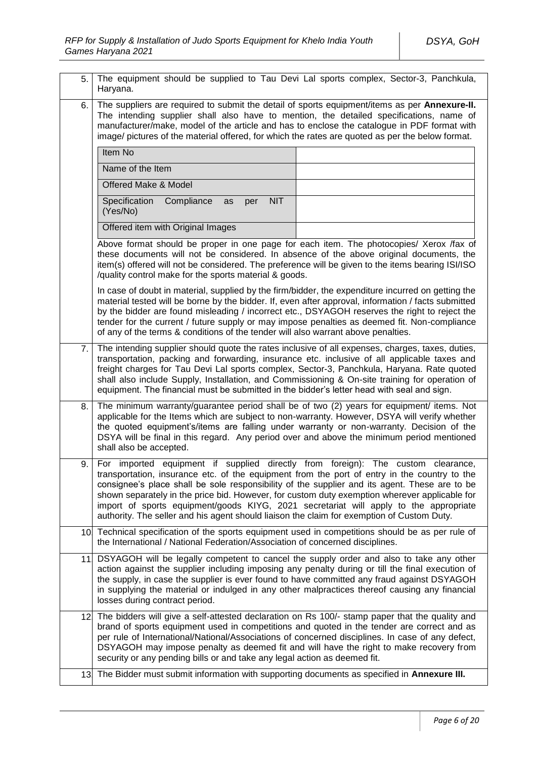| 5.  | The equipment should be supplied to Tau Devi Lal sports complex, Sector-3, Panchkula,<br>Haryana.                                                                                                                                                                                                                                                                                                                                                                                                                                                                         |  |  |
|-----|---------------------------------------------------------------------------------------------------------------------------------------------------------------------------------------------------------------------------------------------------------------------------------------------------------------------------------------------------------------------------------------------------------------------------------------------------------------------------------------------------------------------------------------------------------------------------|--|--|
| 6.  | The suppliers are required to submit the detail of sports equipment/items as per Annexure-II.<br>The intending supplier shall also have to mention, the detailed specifications, name of<br>manufacturer/make, model of the article and has to enclose the catalogue in PDF format with<br>image/ pictures of the material offered, for which the rates are quoted as per the below format.                                                                                                                                                                               |  |  |
|     | Item No                                                                                                                                                                                                                                                                                                                                                                                                                                                                                                                                                                   |  |  |
|     | Name of the Item                                                                                                                                                                                                                                                                                                                                                                                                                                                                                                                                                          |  |  |
|     | Offered Make & Model                                                                                                                                                                                                                                                                                                                                                                                                                                                                                                                                                      |  |  |
|     | Specification<br>Compliance<br><b>NIT</b><br>as<br>per<br>(Yes/No)                                                                                                                                                                                                                                                                                                                                                                                                                                                                                                        |  |  |
|     | Offered item with Original Images                                                                                                                                                                                                                                                                                                                                                                                                                                                                                                                                         |  |  |
|     | Above format should be proper in one page for each item. The photocopies/ Xerox /fax of<br>these documents will not be considered. In absence of the above original documents, the<br>item(s) offered will not be considered. The preference will be given to the items bearing ISI/ISO<br>/quality control make for the sports material & goods.                                                                                                                                                                                                                         |  |  |
|     | In case of doubt in material, supplied by the firm/bidder, the expenditure incurred on getting the<br>material tested will be borne by the bidder. If, even after approval, information / facts submitted<br>by the bidder are found misleading / incorrect etc., DSYAGOH reserves the right to reject the<br>tender for the current / future supply or may impose penalties as deemed fit. Non-compliance<br>of any of the terms & conditions of the tender will also warrant above penalties.                                                                           |  |  |
| 7.  | The intending supplier should quote the rates inclusive of all expenses, charges, taxes, duties,<br>transportation, packing and forwarding, insurance etc. inclusive of all applicable taxes and<br>freight charges for Tau Devi Lal sports complex, Sector-3, Panchkula, Haryana. Rate quoted<br>shall also include Supply, Installation, and Commissioning & On-site training for operation of<br>equipment. The financial must be submitted in the bidder's letter head with seal and sign.                                                                            |  |  |
| 8.  | The minimum warranty/guarantee period shall be of two (2) years for equipment/ items. Not<br>applicable for the Items which are subject to non-warranty. However, DSYA will verify whether<br>the quoted equipment's/items are falling under warranty or non-warranty. Decision of the<br>DSYA will be final in this regard. Any period over and above the minimum period mentioned<br>shall also be accepted.                                                                                                                                                            |  |  |
| 9.  | For imported equipment if supplied directly from foreign): The custom clearance,<br>transportation, insurance etc. of the equipment from the port of entry in the country to the<br>consignee's place shall be sole responsibility of the supplier and its agent. These are to be<br>shown separately in the price bid. However, for custom duty exemption wherever applicable for<br>import of sports equipment/goods KIYG, 2021 secretariat will apply to the appropriate<br>authority. The seller and his agent should liaison the claim for exemption of Custom Duty. |  |  |
|     | 10 Technical specification of the sports equipment used in competitions should be as per rule of<br>the International / National Federation/Association of concerned disciplines.                                                                                                                                                                                                                                                                                                                                                                                         |  |  |
|     | 11. DSYAGOH will be legally competent to cancel the supply order and also to take any other<br>action against the supplier including imposing any penalty during or till the final execution of<br>the supply, in case the supplier is ever found to have committed any fraud against DSYAGOH<br>in supplying the material or indulged in any other malpractices thereof causing any financial<br>losses during contract period.                                                                                                                                          |  |  |
| 12. | The bidders will give a self-attested declaration on Rs 100/- stamp paper that the quality and<br>brand of sports equipment used in competitions and quoted in the tender are correct and as<br>per rule of International/National/Associations of concerned disciplines. In case of any defect,<br>DSYAGOH may impose penalty as deemed fit and will have the right to make recovery from<br>security or any pending bills or and take any legal action as deemed fit.                                                                                                   |  |  |
|     | 13. The Bidder must submit information with supporting documents as specified in Annexure III.                                                                                                                                                                                                                                                                                                                                                                                                                                                                            |  |  |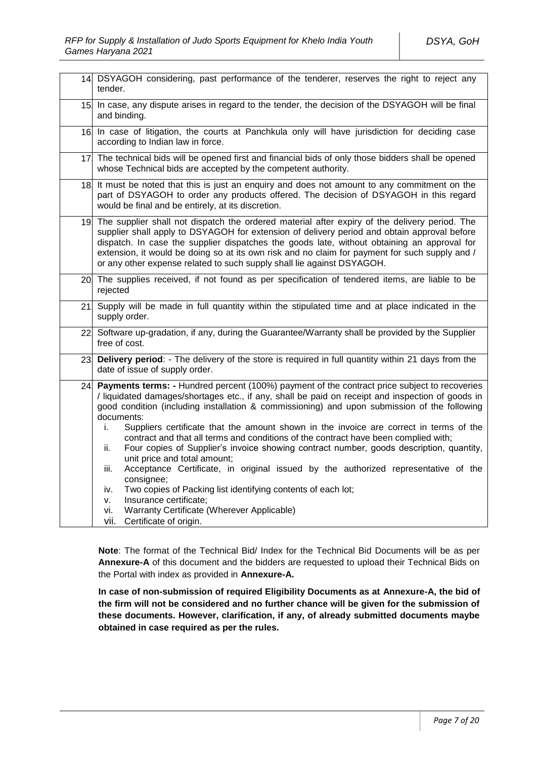|     | 14. DSYAGOH considering, past performance of the tenderer, reserves the right to reject any<br>tender.                                                                                                                                                                                                                                                                                                                                                                                                                                                                                                                                                                                                                                                                                                                                                                                                                                       |  |  |
|-----|----------------------------------------------------------------------------------------------------------------------------------------------------------------------------------------------------------------------------------------------------------------------------------------------------------------------------------------------------------------------------------------------------------------------------------------------------------------------------------------------------------------------------------------------------------------------------------------------------------------------------------------------------------------------------------------------------------------------------------------------------------------------------------------------------------------------------------------------------------------------------------------------------------------------------------------------|--|--|
| 15. | In case, any dispute arises in regard to the tender, the decision of the DSYAGOH will be final<br>and binding.                                                                                                                                                                                                                                                                                                                                                                                                                                                                                                                                                                                                                                                                                                                                                                                                                               |  |  |
|     | 16. In case of litigation, the courts at Panchkula only will have jurisdiction for deciding case<br>according to Indian law in force.                                                                                                                                                                                                                                                                                                                                                                                                                                                                                                                                                                                                                                                                                                                                                                                                        |  |  |
|     | 17. The technical bids will be opened first and financial bids of only those bidders shall be opened<br>whose Technical bids are accepted by the competent authority.                                                                                                                                                                                                                                                                                                                                                                                                                                                                                                                                                                                                                                                                                                                                                                        |  |  |
| 18. | It must be noted that this is just an enquiry and does not amount to any commitment on the<br>part of DSYAGOH to order any products offered. The decision of DSYAGOH in this regard<br>would be final and be entirely, at its discretion.                                                                                                                                                                                                                                                                                                                                                                                                                                                                                                                                                                                                                                                                                                    |  |  |
|     | 19. The supplier shall not dispatch the ordered material after expiry of the delivery period. The<br>supplier shall apply to DSYAGOH for extension of delivery period and obtain approval before<br>dispatch. In case the supplier dispatches the goods late, without obtaining an approval for<br>extension, it would be doing so at its own risk and no claim for payment for such supply and /<br>or any other expense related to such supply shall lie against DSYAGOH.                                                                                                                                                                                                                                                                                                                                                                                                                                                                  |  |  |
|     | 20 The supplies received, if not found as per specification of tendered items, are liable to be<br>rejected                                                                                                                                                                                                                                                                                                                                                                                                                                                                                                                                                                                                                                                                                                                                                                                                                                  |  |  |
| 21. | Supply will be made in full quantity within the stipulated time and at place indicated in the<br>supply order.                                                                                                                                                                                                                                                                                                                                                                                                                                                                                                                                                                                                                                                                                                                                                                                                                               |  |  |
|     | 22 Software up-gradation, if any, during the Guarantee/Warranty shall be provided by the Supplier<br>free of cost.                                                                                                                                                                                                                                                                                                                                                                                                                                                                                                                                                                                                                                                                                                                                                                                                                           |  |  |
| 23. | Delivery period: - The delivery of the store is required in full quantity within 21 days from the<br>date of issue of supply order.                                                                                                                                                                                                                                                                                                                                                                                                                                                                                                                                                                                                                                                                                                                                                                                                          |  |  |
| 24. | Payments terms: - Hundred percent (100%) payment of the contract price subject to recoveries<br>liquidated damages/shortages etc., if any, shall be paid on receipt and inspection of goods in<br>good condition (including installation & commissioning) and upon submission of the following<br>documents:<br>Suppliers certificate that the amount shown in the invoice are correct in terms of the<br>i.<br>contract and that all terms and conditions of the contract have been complied with;<br>Four copies of Supplier's invoice showing contract number, goods description, quantity,<br>ii.<br>unit price and total amount;<br>Acceptance Certificate, in original issued by the authorized representative of the<br>iii.<br>consignee;<br>Two copies of Packing list identifying contents of each lot;<br>iv.<br>Insurance certificate;<br>v.<br>Warranty Certificate (Wherever Applicable)<br>vi.<br>vii. Certificate of origin. |  |  |

**Note**: The format of the Technical Bid/ Index for the Technical Bid Documents will be as per **Annexure-A** of this document and the bidders are requested to upload their Technical Bids on the Portal with index as provided in **Annexure-A.**

**In case of non-submission of required Eligibility Documents as at Annexure-A, the bid of the firm will not be considered and no further chance will be given for the submission of these documents. However, clarification, if any, of already submitted documents maybe obtained in case required as per the rules.**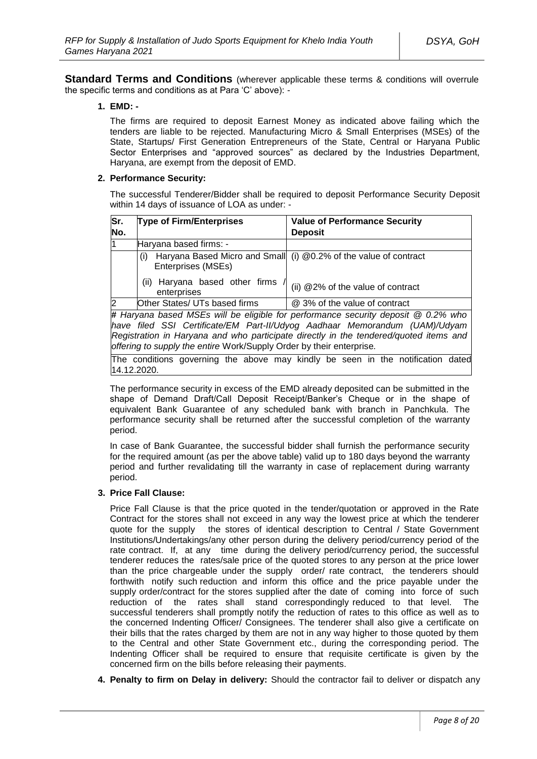**Standard Terms and Conditions** (wherever applicable these terms & conditions will overrule the specific terms and conditions as at Para 'C' above): -

#### **1. EMD: -**

The firms are required to deposit Earnest Money as indicated above failing which the tenders are liable to be rejected. Manufacturing Micro & Small Enterprises (MSEs) of the State, Startups/ First Generation Entrepreneurs of the State, Central or Haryana Public Sector Enterprises and "approved sources" as declared by the Industries Department, Haryana, are exempt from the deposit of EMD.

### **2. Performance Security:**

The successful Tenderer/Bidder shall be required to deposit Performance Security Deposit within 14 days of issuance of LOA as under: -

| Sr.<br>No.                                                                        | <b>Type of Firm/Enterprises</b>                  | <b>Value of Performance Security</b><br><b>Deposit</b>                       |
|-----------------------------------------------------------------------------------|--------------------------------------------------|------------------------------------------------------------------------------|
| l1                                                                                | Haryana based firms: -                           |                                                                              |
|                                                                                   | (i)<br>Enterprises (MSEs)                        | Haryana Based Micro and Small (i) @0.2% of the value of contract             |
|                                                                                   | Haryana based other firms<br>(ii)<br>enterprises | (ii) @2% of the value of contract                                            |
| 2                                                                                 | Other States/ UTs based firms                    | @ 3% of the value of contract                                                |
| # Haryana based MSEs will be eligible for performance security deposit @ 0.2% who |                                                  |                                                                              |
|                                                                                   |                                                  | lhave filed SSL Certificate/FM Part-II/Lldyog Aadhaar Memorandum (HAM)/Hdvam |

*have filed SSI Certificate/EM Part-II/Udyog Aadhaar Memorandum (UAM)/Udyam Registration in Haryana and who participate directly in the tendered/quoted items and offering to supply the entire* Work/Supply Order by their enterprise*.*

The conditions governing the above may kindly be seen in the notification dated 14.12.2020.

The performance security in excess of the EMD already deposited can be submitted in the shape of Demand Draft/Call Deposit Receipt/Banker's Cheque or in the shape of equivalent Bank Guarantee of any scheduled bank with branch in Panchkula. The performance security shall be returned after the successful completion of the warranty period.

In case of Bank Guarantee, the successful bidder shall furnish the performance security for the required amount (as per the above table) valid up to 180 days beyond the warranty period and further revalidating till the warranty in case of replacement during warranty period.

### **3. Price Fall Clause:**

Price Fall Clause is that the price quoted in the tender/quotation or approved in the Rate Contract for the stores shall not exceed in any way the lowest price at which the tenderer quote for the supply the stores of identical description to Central / State Government Institutions/Undertakings/any other person during the delivery period/currency period of the rate contract. If, at any time during the delivery period/currency period, the successful tenderer reduces the rates/sale price of the quoted stores to any person at the price lower than the price chargeable under the supply order/ rate contract, the tenderers should forthwith notify such reduction and inform this office and the price payable under the supply order/contract for the stores supplied after the date of coming into force of such reduction of the rates shall stand correspondingly reduced to that level. The successful tenderers shall promptly notify the reduction of rates to this office as well as to the concerned Indenting Officer/ Consignees. The tenderer shall also give a certificate on their bills that the rates charged by them are not in any way higher to those quoted by them to the Central and other State Government etc., during the corresponding period. The Indenting Officer shall be required to ensure that requisite certificate is given by the concerned firm on the bills before releasing their payments.

**4. Penalty to firm on Delay in delivery:** Should the contractor fail to deliver or dispatch any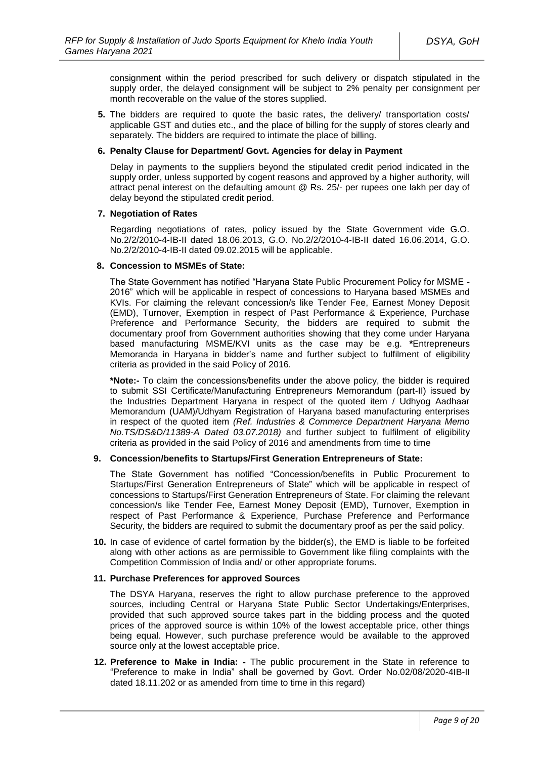consignment within the period prescribed for such delivery or dispatch stipulated in the supply order, the delayed consignment will be subject to 2% penalty per consignment per month recoverable on the value of the stores supplied.

**5.** The bidders are required to quote the basic rates, the delivery/ transportation costs/ applicable GST and duties etc., and the place of billing for the supply of stores clearly and separately. The bidders are required to intimate the place of billing.

#### **6. Penalty Clause for Department/ Govt. Agencies for delay in Payment**

Delay in payments to the suppliers beyond the stipulated credit period indicated in the supply order, unless supported by cogent reasons and approved by a higher authority, will attract penal interest on the defaulting amount @ Rs. 25/- per rupees one lakh per day of delay beyond the stipulated credit period.

### **7. Negotiation of Rates**

Regarding negotiations of rates, policy issued by the State Government vide G.O. No.2/2/2010-4-IB-II dated 18.06.2013, G.O. No.2/2/2010-4-IB-II dated 16.06.2014, G.O. No.2/2/2010-4-IB-II dated 09.02.2015 will be applicable.

#### **8. Concession to MSMEs of State:**

The State Government has notified "Haryana State Public Procurement Policy for MSME - 2016" which will be applicable in respect of concessions to Haryana based MSMEs and KVIs. For claiming the relevant concession/s like Tender Fee, Earnest Money Deposit (EMD), Turnover, Exemption in respect of Past Performance & Experience, Purchase Preference and Performance Security, the bidders are required to submit the documentary proof from Government authorities showing that they come under Haryana based manufacturing MSME/KVI units as the case may be e.g. **\***Entrepreneurs Memoranda in Haryana in bidder's name and further subject to fulfilment of eligibility criteria as provided in the said Policy of 2016.

**\*Note:-** To claim the concessions/benefits under the above policy, the bidder is required to submit SSI Certificate/Manufacturing Entrepreneurs Memorandum (part-II) issued by the Industries Department Haryana in respect of the quoted item / Udhyog Aadhaar Memorandum (UAM)/Udhyam Registration of Haryana based manufacturing enterprises in respect of the quoted item *(Ref. Industries & Commerce Department Haryana Memo No.TS/DS&D/11389-A Dated 03.07.2018)* and further subject to fulfilment of eligibility criteria as provided in the said Policy of 2016 and amendments from time to time

### **9. Concession/benefits to Startups/First Generation Entrepreneurs of State:**

The State Government has notified "Concession/benefits in Public Procurement to Startups/First Generation Entrepreneurs of State" which will be applicable in respect of concessions to Startups/First Generation Entrepreneurs of State. For claiming the relevant concession/s like Tender Fee, Earnest Money Deposit (EMD), Turnover, Exemption in respect of Past Performance & Experience, Purchase Preference and Performance Security, the bidders are required to submit the documentary proof as per the said policy.

**10.** In case of evidence of cartel formation by the bidder(s), the EMD is liable to be forfeited along with other actions as are permissible to Government like filing complaints with the Competition Commission of India and/ or other appropriate forums.

#### **11. Purchase Preferences for approved Sources**

The DSYA Haryana, reserves the right to allow purchase preference to the approved sources, including Central or Haryana State Public Sector Undertakings/Enterprises, provided that such approved source takes part in the bidding process and the quoted prices of the approved source is within 10% of the lowest acceptable price, other things being equal. However, such purchase preference would be available to the approved source only at the lowest acceptable price.

**12. Preference to Make in India: -** The public procurement in the State in reference to "Preference to make in India" shall be governed by Govt. Order No.02/08/2020-4IB-II dated 18.11.202 or as amended from time to time in this regard)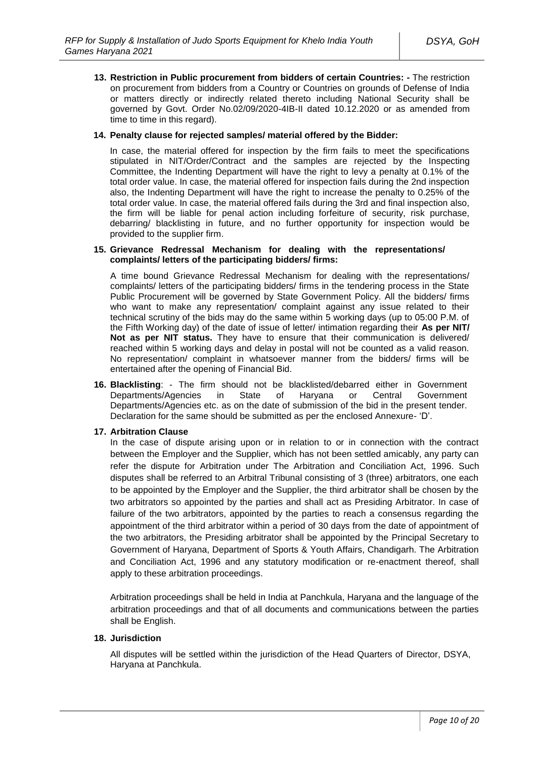**13. Restriction in Public procurement from bidders of certain Countries: -** The restriction on procurement from bidders from a Country or Countries on grounds of Defense of India or matters directly or indirectly related thereto including National Security shall be governed by Govt. Order No.02/09/2020-4IB-II dated 10.12.2020 or as amended from time to time in this regard).

### **14. Penalty clause for rejected samples/ material offered by the Bidder:**

In case, the material offered for inspection by the firm fails to meet the specifications stipulated in NIT/Order/Contract and the samples are rejected by the Inspecting Committee, the Indenting Department will have the right to levy a penalty at 0.1% of the total order value. In case, the material offered for inspection fails during the 2nd inspection also, the Indenting Department will have the right to increase the penalty to 0.25% of the total order value. In case, the material offered fails during the 3rd and final inspection also, the firm will be liable for penal action including forfeiture of security, risk purchase, debarring/ blacklisting in future, and no further opportunity for inspection would be provided to the supplier firm.

#### **15. Grievance Redressal Mechanism for dealing with the representations/ complaints/ letters of the participating bidders/ firms:**

A time bound Grievance Redressal Mechanism for dealing with the representations/ complaints/ letters of the participating bidders/ firms in the tendering process in the State Public Procurement will be governed by State Government Policy. All the bidders/ firms who want to make any representation/ complaint against any issue related to their technical scrutiny of the bids may do the same within 5 working days (up to 05:00 P.M. of the Fifth Working day) of the date of issue of letter/ intimation regarding their **As per NIT/ Not as per NIT status.** They have to ensure that their communication is delivered/ reached within 5 working days and delay in postal will not be counted as a valid reason. No representation/ complaint in whatsoever manner from the bidders/ firms will be entertained after the opening of Financial Bid.

**16. Blacklisting**: - The firm should not be blacklisted/debarred either in Government Departments/Agencies in State of Haryana or Central Government Departments/Agencies etc. as on the date of submission of the bid in the present tender. Declaration for the same should be submitted as per the enclosed Annexure- 'D'.

### **17. Arbitration Clause**

In the case of dispute arising upon or in relation to or in connection with the contract between the Employer and the Supplier, which has not been settled amicably, any party can refer the dispute for Arbitration under The Arbitration and Conciliation Act, 1996. Such disputes shall be referred to an Arbitral Tribunal consisting of 3 (three) arbitrators, one each to be appointed by the Employer and the Supplier, the third arbitrator shall be chosen by the two arbitrators so appointed by the parties and shall act as Presiding Arbitrator. In case of failure of the two arbitrators, appointed by the parties to reach a consensus regarding the appointment of the third arbitrator within a period of 30 days from the date of appointment of the two arbitrators, the Presiding arbitrator shall be appointed by the Principal Secretary to Government of Haryana, Department of Sports & Youth Affairs, Chandigarh. The Arbitration and Conciliation Act, 1996 and any statutory modification or re-enactment thereof, shall apply to these arbitration proceedings.

Arbitration proceedings shall be held in India at Panchkula, Haryana and the language of the arbitration proceedings and that of all documents and communications between the parties shall be English.

### **18. Jurisdiction**

All disputes will be settled within the jurisdiction of the Head Quarters of Director, DSYA, Haryana at Panchkula.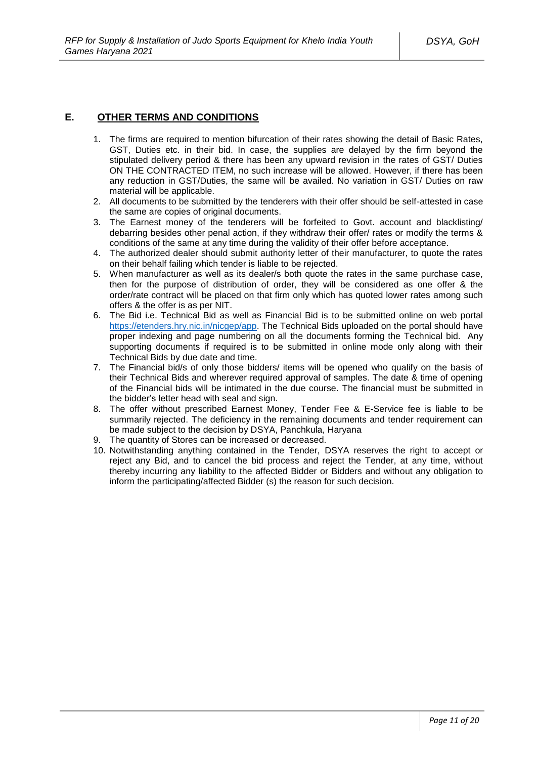# **E. OTHER TERMS AND CONDITIONS**

- 1. The firms are required to mention bifurcation of their rates showing the detail of Basic Rates, GST, Duties etc. in their bid. In case, the supplies are delayed by the firm beyond the stipulated delivery period & there has been any upward revision in the rates of GST/ Duties ON THE CONTRACTED ITEM, no such increase will be allowed. However, if there has been any reduction in GST/Duties, the same will be availed. No variation in GST/ Duties on raw material will be applicable.
- 2. All documents to be submitted by the tenderers with their offer should be self-attested in case the same are copies of original documents.
- 3. The Earnest money of the tenderers will be forfeited to Govt. account and blacklisting/ debarring besides other penal action, if they withdraw their offer/ rates or modify the terms & conditions of the same at any time during the validity of their offer before acceptance.
- 4. The authorized dealer should submit authority letter of their manufacturer, to quote the rates on their behalf failing which tender is liable to be rejected.
- 5. When manufacturer as well as its dealer/s both quote the rates in the same purchase case, then for the purpose of distribution of order, they will be considered as one offer & the order/rate contract will be placed on that firm only which has quoted lower rates among such offers & the offer is as per NIT.
- 6. The Bid i.e. Technical Bid as well as Financial Bid is to be submitted online on web portal [https://etenders.hry.nic.in/nicgep/app.](https://etenders.hry.nic.in/nicgep/app) The Technical Bids uploaded on the portal should have proper indexing and page numbering on all the documents forming the Technical bid. Any supporting documents if required is to be submitted in online mode only along with their Technical Bids by due date and time.
- 7. The Financial bid/s of only those bidders/ items will be opened who qualify on the basis of their Technical Bids and wherever required approval of samples. The date & time of opening of the Financial bids will be intimated in the due course. The financial must be submitted in the bidder's letter head with seal and sign.
- 8. The offer without prescribed Earnest Money, Tender Fee & E-Service fee is liable to be summarily rejected. The deficiency in the remaining documents and tender requirement can be made subject to the decision by DSYA, Panchkula, Haryana
- 9. The quantity of Stores can be increased or decreased.
- 10. Notwithstanding anything contained in the Tender, DSYA reserves the right to accept or reject any Bid, and to cancel the bid process and reject the Tender, at any time, without thereby incurring any liability to the affected Bidder or Bidders and without any obligation to inform the participating/affected Bidder (s) the reason for such decision.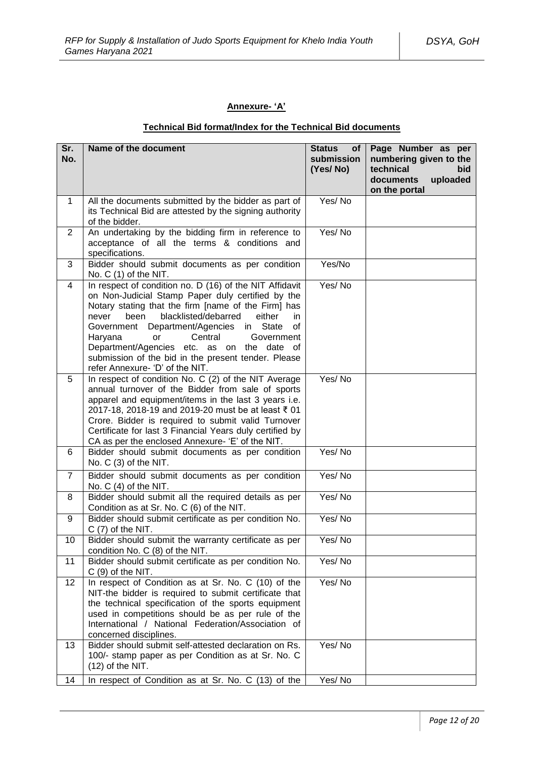# **Annexure- 'A'**

# **Technical Bid format/Index for the Technical Bid documents**

| Sr.<br>No.      | Name of the document                                                                                                                                                                                                                                                                                                                                                                                                                                                          | <b>Status</b><br>of<br>submission<br>(Yes/No) | Page Number as per<br>numbering given to the<br>technical<br>bid<br>uploaded<br>documents<br>on the portal |
|-----------------|-------------------------------------------------------------------------------------------------------------------------------------------------------------------------------------------------------------------------------------------------------------------------------------------------------------------------------------------------------------------------------------------------------------------------------------------------------------------------------|-----------------------------------------------|------------------------------------------------------------------------------------------------------------|
| $\mathbf{1}$    | All the documents submitted by the bidder as part of<br>its Technical Bid are attested by the signing authority<br>of the bidder.                                                                                                                                                                                                                                                                                                                                             | Yes/No                                        |                                                                                                            |
| $\overline{2}$  | An undertaking by the bidding firm in reference to<br>acceptance of all the terms & conditions and<br>specifications.                                                                                                                                                                                                                                                                                                                                                         | Yes/No                                        |                                                                                                            |
| 3               | Bidder should submit documents as per condition<br>No. C (1) of the NIT.                                                                                                                                                                                                                                                                                                                                                                                                      | Yes/No                                        |                                                                                                            |
| 4               | In respect of condition no. D (16) of the NIT Affidavit<br>on Non-Judicial Stamp Paper duly certified by the<br>Notary stating that the firm [name of the Firm] has<br>blacklisted/debarred<br>either<br>been<br>never<br>in.<br>Government Department/Agencies<br>State<br>in<br>of<br>Central<br>Haryana<br><b>or</b><br>Government<br>Department/Agencies etc. as on the date of<br>submission of the bid in the present tender. Please<br>refer Annexure- 'D' of the NIT. | Yes/No                                        |                                                                                                            |
| 5               | In respect of condition No. C (2) of the NIT Average<br>annual turnover of the Bidder from sale of sports<br>apparel and equipment/items in the last 3 years i.e.<br>2017-18, 2018-19 and 2019-20 must be at least ₹ 01<br>Crore. Bidder is required to submit valid Turnover<br>Certificate for last 3 Financial Years duly certified by<br>CA as per the enclosed Annexure- 'E' of the NIT.                                                                                 | Yes/No                                        |                                                                                                            |
| 6               | Bidder should submit documents as per condition<br>No. C (3) of the NIT.                                                                                                                                                                                                                                                                                                                                                                                                      | Yes/No                                        |                                                                                                            |
| $\overline{7}$  | Bidder should submit documents as per condition<br>No. $C(4)$ of the NIT.                                                                                                                                                                                                                                                                                                                                                                                                     | Yes/No                                        |                                                                                                            |
| 8               | Bidder should submit all the required details as per<br>Condition as at Sr. No. C (6) of the NIT.                                                                                                                                                                                                                                                                                                                                                                             | Yes/No                                        |                                                                                                            |
| 9               | Bidder should submit certificate as per condition No.<br>$C(7)$ of the NIT.                                                                                                                                                                                                                                                                                                                                                                                                   | Yes/No                                        |                                                                                                            |
| 10              | Bidder should submit the warranty certificate as per<br>condition No. C (8) of the NIT.                                                                                                                                                                                                                                                                                                                                                                                       | Yes/No                                        |                                                                                                            |
| 11              | Bidder should submit certificate as per condition No.<br>$C(9)$ of the NIT.                                                                                                                                                                                                                                                                                                                                                                                                   | Yes/No                                        |                                                                                                            |
| 12 <sub>2</sub> | In respect of Condition as at Sr. No. C (10) of the<br>NIT-the bidder is required to submit certificate that<br>the technical specification of the sports equipment<br>used in competitions should be as per rule of the<br>International / National Federation/Association of<br>concerned disciplines.                                                                                                                                                                      | Yes/No                                        |                                                                                                            |
| 13              | Bidder should submit self-attested declaration on Rs.<br>100/- stamp paper as per Condition as at Sr. No. C<br>$(12)$ of the NIT.                                                                                                                                                                                                                                                                                                                                             | Yes/No                                        |                                                                                                            |
| 14              | In respect of Condition as at Sr. No. C (13) of the                                                                                                                                                                                                                                                                                                                                                                                                                           | Yes/No                                        |                                                                                                            |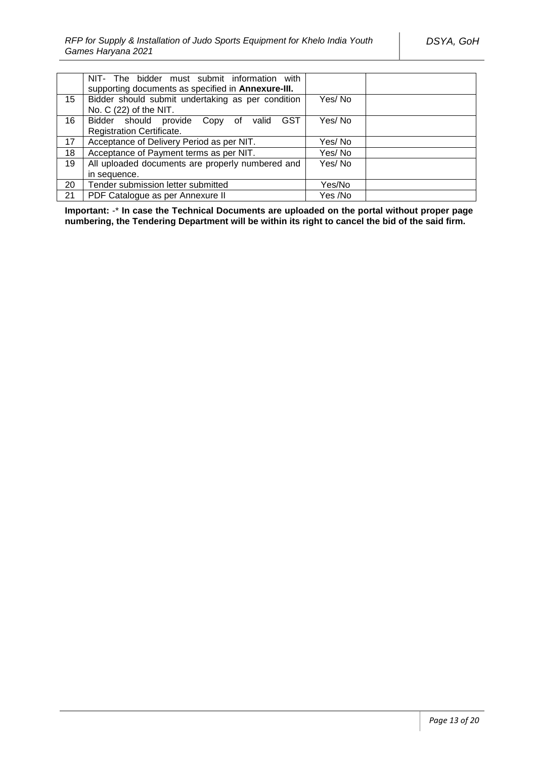|    | NIT- The bidder must submit information with<br>supporting documents as specified in Annexure-III. |         |
|----|----------------------------------------------------------------------------------------------------|---------|
| 15 | Bidder should submit undertaking as per condition<br>No. C (22) of the NIT.                        | Yes/No  |
| 16 | Bidder should provide Copy of valid<br>GST                                                         | Yes/No  |
|    | Registration Certificate.                                                                          |         |
| 17 | Acceptance of Delivery Period as per NIT.                                                          | Yes/No  |
| 18 | Acceptance of Payment terms as per NIT.                                                            | Yes/No  |
| 19 | All uploaded documents are properly numbered and                                                   | Yes/No  |
|    | in sequence.                                                                                       |         |
| 20 | Tender submission letter submitted                                                                 | Yes/No  |
| 21 | PDF Catalogue as per Annexure II                                                                   | Yes /No |

**Important:** -\* **In case the Technical Documents are uploaded on the portal without proper page numbering, the Tendering Department will be within its right to cancel the bid of the said firm.**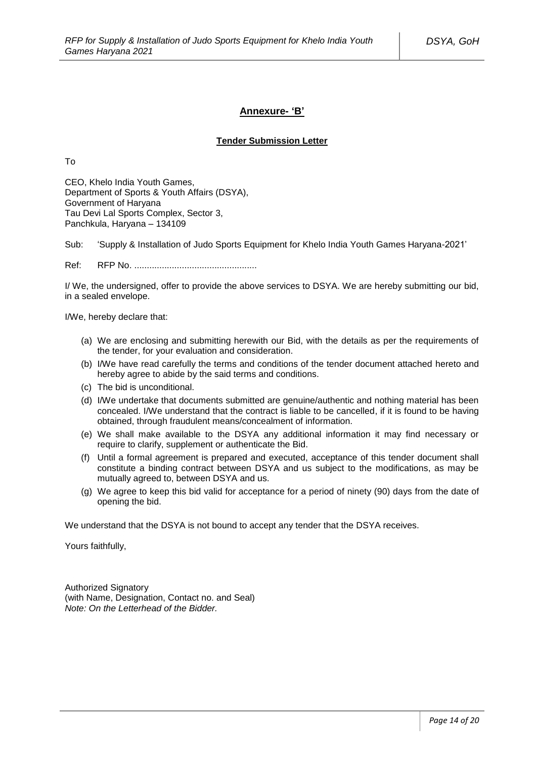### **Annexure- 'B'**

# **Tender Submission Letter**

To

CEO, Khelo India Youth Games, Department of Sports & Youth Affairs (DSYA), Government of Haryana Tau Devi Lal Sports Complex, Sector 3, Panchkula, Haryana – 134109

Sub: 'Supply & Installation of Judo Sports Equipment for Khelo India Youth Games Haryana-2021'

Ref: RFP No. .................................................

I/ We, the undersigned, offer to provide the above services to DSYA. We are hereby submitting our bid, in a sealed envelope.

I/We, hereby declare that:

- (a) We are enclosing and submitting herewith our Bid, with the details as per the requirements of the tender, for your evaluation and consideration.
- (b) I/We have read carefully the terms and conditions of the tender document attached hereto and hereby agree to abide by the said terms and conditions.
- (c) The bid is unconditional.
- (d) I/We undertake that documents submitted are genuine/authentic and nothing material has been concealed. I/We understand that the contract is liable to be cancelled, if it is found to be having obtained, through fraudulent means/concealment of information.
- (e) We shall make available to the DSYA any additional information it may find necessary or require to clarify, supplement or authenticate the Bid.
- (f) Until a formal agreement is prepared and executed, acceptance of this tender document shall constitute a binding contract between DSYA and us subject to the modifications, as may be mutually agreed to, between DSYA and us.
- (g) We agree to keep this bid valid for acceptance for a period of ninety (90) days from the date of opening the bid.

We understand that the DSYA is not bound to accept any tender that the DSYA receives.

Yours faithfully,

Authorized Signatory (with Name, Designation, Contact no. and Seal) *Note: On the Letterhead of the Bidder.*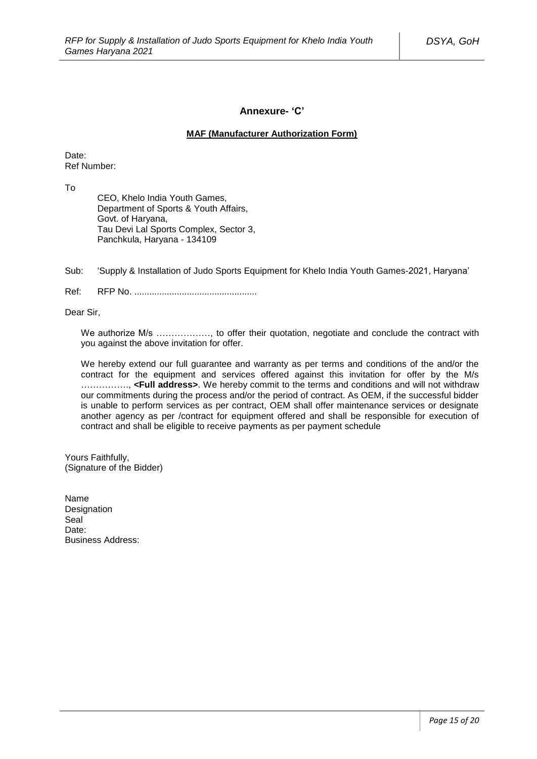### **Annexure- 'C'**

### **MAF (Manufacturer Authorization Form)**

Date: Ref Number:

To

CEO, Khelo India Youth Games, Department of Sports & Youth Affairs, Govt. of Haryana, Tau Devi Lal Sports Complex, Sector 3, Panchkula, Haryana - 134109

Sub: 'Supply & Installation of Judo Sports Equipment for Khelo India Youth Games-2021, Haryana'

Ref: RFP No. .................................................

Dear Sir,

We authorize M/s ................., to offer their quotation, negotiate and conclude the contract with you against the above invitation for offer.

We hereby extend our full quarantee and warranty as per terms and conditions of the and/or the contract for the equipment and services offered against this invitation for offer by the M/s ……………., **<Full address>**. We hereby commit to the terms and conditions and will not withdraw our commitments during the process and/or the period of contract. As OEM, if the successful bidder is unable to perform services as per contract, OEM shall offer maintenance services or designate another agency as per /contract for equipment offered and shall be responsible for execution of contract and shall be eligible to receive payments as per payment schedule

Yours Faithfully, (Signature of the Bidder)

Name **Designation** Seal Date: Business Address: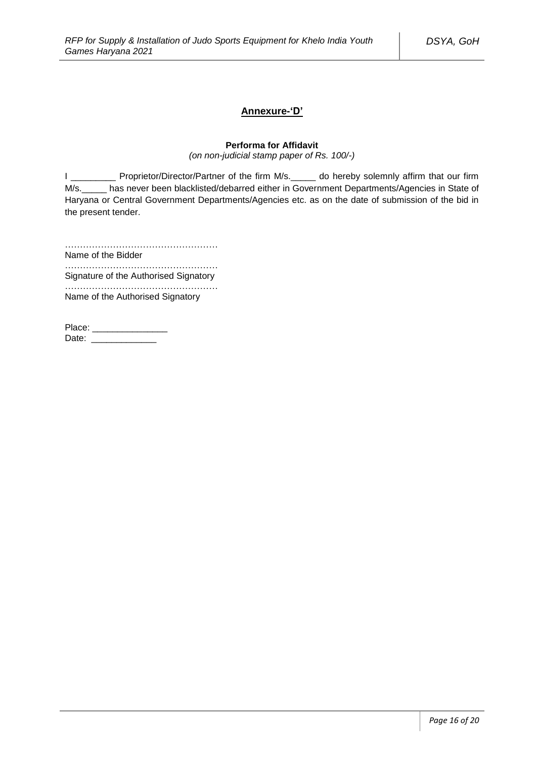### **Annexure-'D'**

# **Performa for Affidavit**

*(on non-judicial stamp paper of Rs. 100/-)*

I \_\_\_\_\_\_\_\_\_ Proprietor/Director/Partner of the firm M/s.\_\_\_\_\_ do hereby solemnly affirm that our firm M/s.\_\_\_\_\_ has never been blacklisted/debarred either in Government Departments/Agencies in State of Haryana or Central Government Departments/Agencies etc. as on the date of submission of the bid in the present tender.

……………………………………………

Name of the Bidder ……………………………………………

Signature of the Authorised Signatory

…………………………………………… Name of the Authorised Signatory

Place: \_\_\_\_\_\_\_\_\_\_\_\_\_\_\_ Date: \_\_\_\_\_\_\_\_\_\_\_\_\_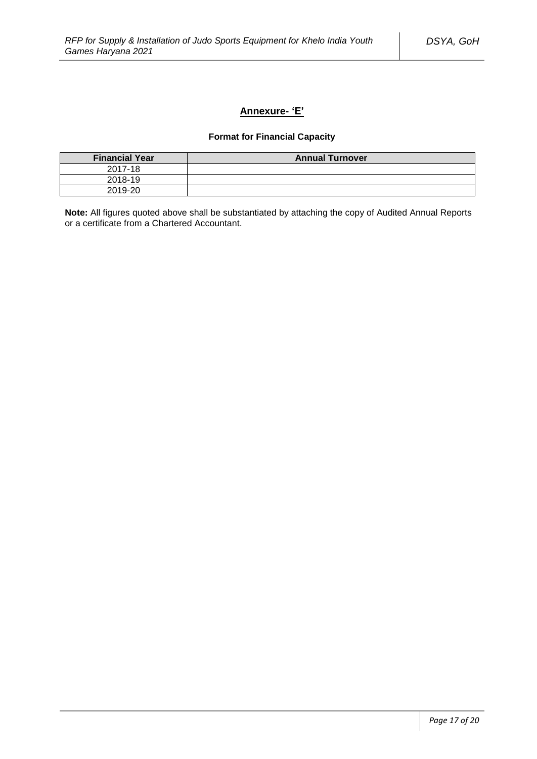# **Annexure- 'E'**

# **Format for Financial Capacity**

| <b>Financial Year</b> | <b>Annual Turnover</b> |
|-----------------------|------------------------|
| 2017-18               |                        |
| 2018-19               |                        |
| 2019-20               |                        |

**Note:** All figures quoted above shall be substantiated by attaching the copy of Audited Annual Reports or a certificate from a Chartered Accountant.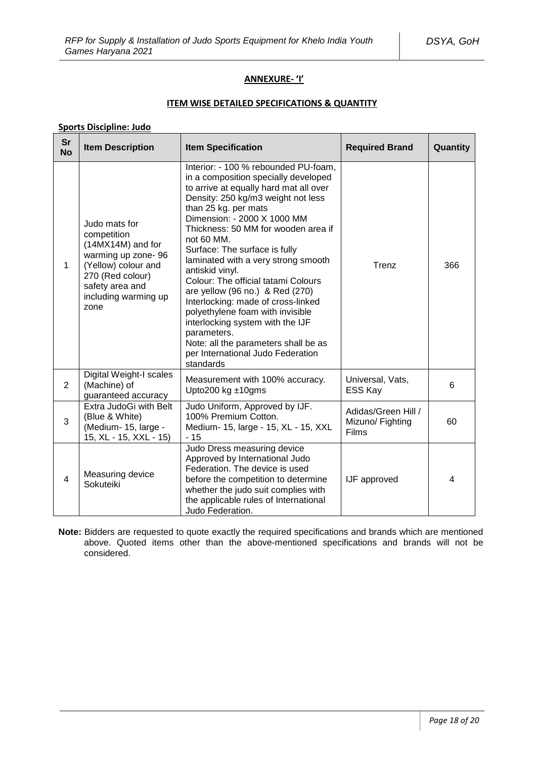# **ANNEXURE- 'I'**

### **ITEM WISE DETAILED SPECIFICATIONS & QUANTITY**

# **Sports Discipline: Judo**

| <b>Sr</b><br><b>No</b> | <b>Item Description</b>                                                                                                                                               | <b>Item Specification</b>                                                                                                                                                                                                                                                                                                                                                                                                                                                                                                                                                                                                                                            | <b>Required Brand</b>                            | Quantity |
|------------------------|-----------------------------------------------------------------------------------------------------------------------------------------------------------------------|----------------------------------------------------------------------------------------------------------------------------------------------------------------------------------------------------------------------------------------------------------------------------------------------------------------------------------------------------------------------------------------------------------------------------------------------------------------------------------------------------------------------------------------------------------------------------------------------------------------------------------------------------------------------|--------------------------------------------------|----------|
| 1                      | Judo mats for<br>competition<br>(14MX14M) and for<br>warming up zone-96<br>(Yellow) colour and<br>270 (Red colour)<br>safety area and<br>including warming up<br>zone | Interior: - 100 % rebounded PU-foam,<br>in a composition specially developed<br>to arrive at equally hard mat all over<br>Density: 250 kg/m3 weight not less<br>than 25 kg. per mats<br>Dimension: - 2000 X 1000 MM<br>Thickness: 50 MM for wooden area if<br>not 60 MM.<br>Surface: The surface is fully<br>laminated with a very strong smooth<br>antiskid vinyl.<br>Colour: The official tatami Colours<br>are yellow (96 no.) & Red (270)<br>Interlocking: made of cross-linked<br>polyethylene foam with invisible<br>interlocking system with the IJF<br>parameters.<br>Note: all the parameters shall be as<br>per International Judo Federation<br>standards | Trenz                                            | 366      |
| $\overline{2}$         | Digital Weight-I scales<br>(Machine) of<br>guaranteed accuracy                                                                                                        | Measurement with 100% accuracy.<br>Upto200 kg $±10$ gms                                                                                                                                                                                                                                                                                                                                                                                                                                                                                                                                                                                                              | Universal, Vats,<br>ESS Kay                      | 6        |
| 3                      | Extra JudoGi with Belt<br>(Blue & White)<br>(Medium- 15, large -<br>15, XL - 15, XXL - 15)                                                                            | Judo Uniform, Approved by IJF.<br>100% Premium Cotton.<br>Medium- 15, large - 15, XL - 15, XXL<br>- 15                                                                                                                                                                                                                                                                                                                                                                                                                                                                                                                                                               | Adidas/Green Hill /<br>Mizuno/ Fighting<br>Films | 60       |
| 4                      | Measuring device<br>Sokuteiki                                                                                                                                         | Judo Dress measuring device<br>Approved by International Judo<br>Federation. The device is used<br>before the competition to determine<br>whether the judo suit complies with<br>the applicable rules of International<br>Judo Federation.                                                                                                                                                                                                                                                                                                                                                                                                                           | IJF approved                                     | 4        |

**Note:** Bidders are requested to quote exactly the required specifications and brands which are mentioned above. Quoted items other than the above-mentioned specifications and brands will not be considered.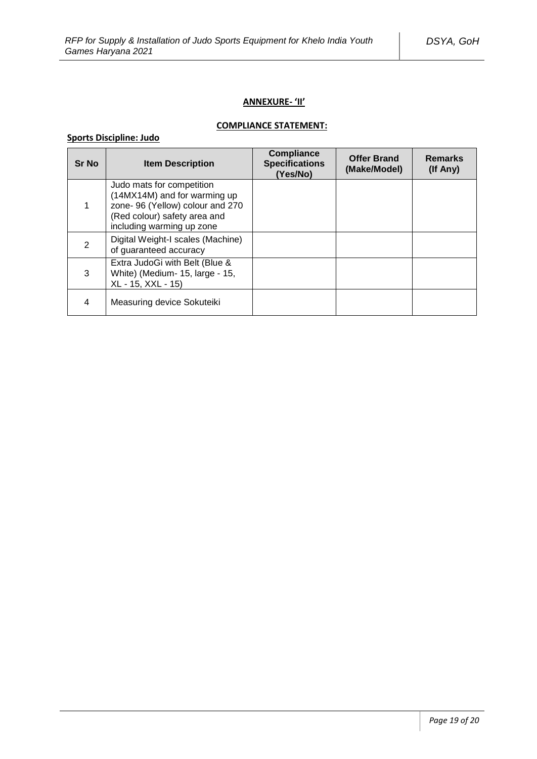### **ANNEXURE- 'II'**

# **COMPLIANCE STATEMENT:**

# **Sports Discipline: Judo**

| <b>Sr No</b> | <b>Item Description</b>                                                                                                                                    | <b>Compliance</b><br><b>Specifications</b><br>(Yes/No) | <b>Offer Brand</b><br>(Make/Model) | <b>Remarks</b><br>(If Any) |
|--------------|------------------------------------------------------------------------------------------------------------------------------------------------------------|--------------------------------------------------------|------------------------------------|----------------------------|
|              | Judo mats for competition<br>(14MX14M) and for warming up<br>zone- 96 (Yellow) colour and 270<br>(Red colour) safety area and<br>including warming up zone |                                                        |                                    |                            |
| 2            | Digital Weight-I scales (Machine)<br>of guaranteed accuracy                                                                                                |                                                        |                                    |                            |
| 3            | Extra JudoGi with Belt (Blue &<br>White) (Medium- 15, large - 15,<br>XL - 15, XXL - 15)                                                                    |                                                        |                                    |                            |
| 4            | Measuring device Sokuteiki                                                                                                                                 |                                                        |                                    |                            |